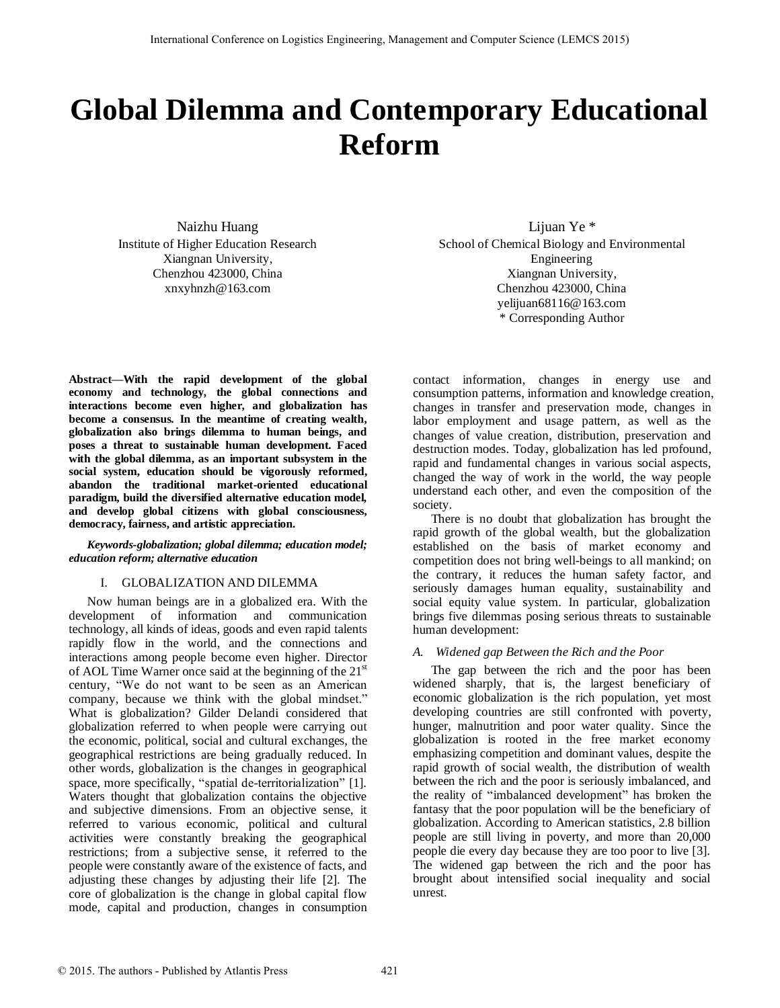# **Global Dilemma and Contemporary Educational Reform**

Naizhu Huang Institute of Higher Education Research Xiangnan University, Chenzhou 423000, China xnxyhnzh@163.com

Liiuan Ye \* School of Chemical Biology and Environmental Engineering Xiangnan University, Chenzhou 423000, China yelijuan68116@163.com \* Corresponding Author

**Abstract—With the rapid development of the global economy and technology, the global connections and interactions become even higher, and globalization has become a consensus. In the meantime of creating wealth, globalization also brings dilemma to human beings, and poses a threat to sustainable human development. Faced with the global dilemma, as an important subsystem in the social system, education should be vigorously reformed, abandon the traditional market-oriented educational paradigm, build the diversified alternative education model, and develop global citizens with global consciousness, democracy, fairness, and artistic appreciation.** 

#### *Keywords-globalization; global dilemma; education model; education reform; alternative education*

# I. GLOBALIZATION AND DILEMMA

Now human beings are in a globalized era. With the development of information and communication technology, all kinds of ideas, goods and even rapid talents rapidly flow in the world, and the connections and interactions among people become even higher. Director of AOL Time Warner once said at the beginning of the 21<sup>st</sup> century, "We do not want to be seen as an American company, because we think with the global mindset." What is globalization? Gilder Delandi considered that globalization referred to when people were carrying out the economic, political, social and cultural exchanges, the geographical restrictions are being gradually reduced. In other words, globalization is the changes in geographical space, more specifically, "spatial de-territorialization" [1]. Waters thought that globalization contains the objective and subjective dimensions. From an objective sense, it referred to various economic, political and cultural activities were constantly breaking the geographical restrictions; from a subjective sense, it referred to the people were constantly aware of the existence of facts, and adjusting these changes by adjusting their life [2]. The core of globalization is the change in global capital flow mode, capital and production, changes in consumption

contact information, changes in energy use and consumption patterns, information and knowledge creation, changes in transfer and preservation mode, changes in labor employment and usage pattern, as well as the changes of value creation, distribution, preservation and destruction modes. Today, globalization has led profound, rapid and fundamental changes in various social aspects, changed the way of work in the world, the way people understand each other, and even the composition of the society.

There is no doubt that globalization has brought the rapid growth of the global wealth, but the globalization established on the basis of market economy and competition does not bring well-beings to all mankind; on the contrary, it reduces the human safety factor, and seriously damages human equality, sustainability and social equity value system. In particular, globalization brings five dilemmas posing serious threats to sustainable human development:

#### *A. Widened gap Between the Rich and the Poor*

The gap between the rich and the poor has been widened sharply, that is, the largest beneficiary of economic globalization is the rich population, yet most developing countries are still confronted with poverty, hunger, malnutrition and poor water quality. Since the globalization is rooted in the free market economy emphasizing competition and dominant values, despite the rapid growth of social wealth, the distribution of wealth between the rich and the poor is seriously imbalanced, and the reality of "imbalanced development" has broken the fantasy that the poor population will be the beneficiary of globalization. According to American statistics, 2.8 billion people are still living in poverty, and more than 20,000 people die every day because they are too poor to live [3]. The widened gap between the rich and the poor has brought about intensified social inequality and social unrest.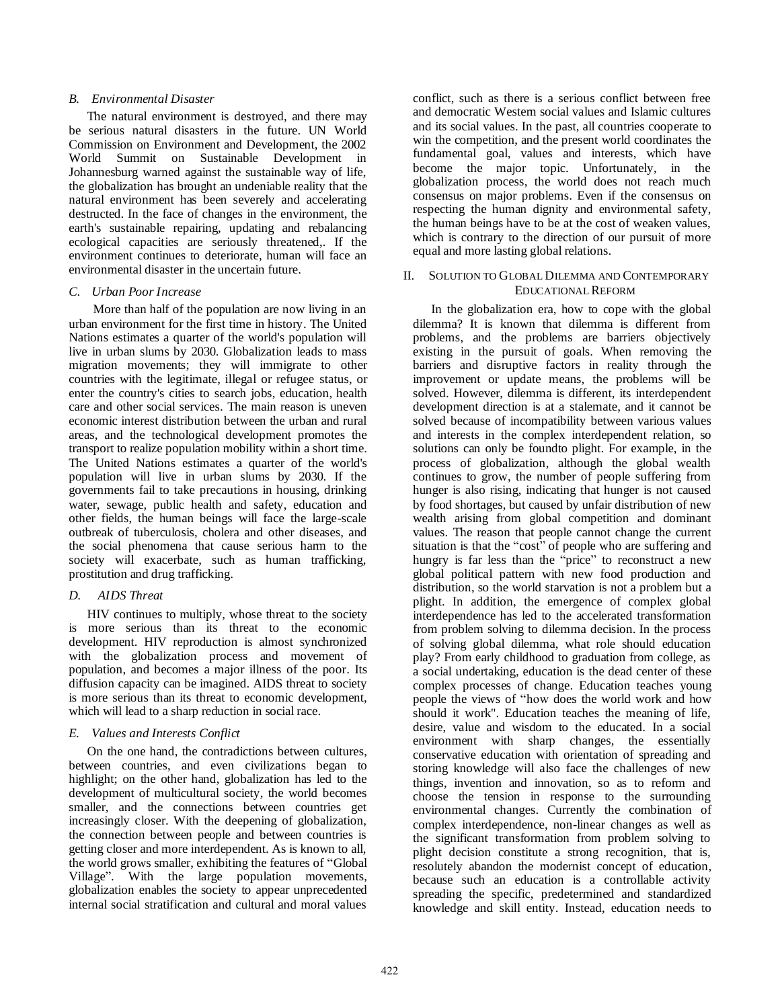#### *B. Environmental Disaster*

The natural environment is destroyed, and there may be serious natural disasters in the future. UN World Commission on Environment and Development, the 2002 World Summit on Sustainable Development in Johannesburg warned against the sustainable way of life, the globalization has brought an undeniable reality that the natural environment has been severely and accelerating destructed. In the face of changes in the environment, the earth's sustainable repairing, updating and rebalancing ecological capacities are seriously threatened,. If the environment continues to deteriorate, human will face an environmental disaster in the uncertain future.

### *C. Urban Poor Increase*

 More than half of the population are now living in an urban environment for the first time in history. The United Nations estimates a quarter of the world's population will live in urban slums by 2030. Globalization leads to mass migration movements; they will immigrate to other countries with the legitimate, illegal or refugee status, or enter the country's cities to search jobs, education, health care and other social services. The main reason is uneven economic interest distribution between the urban and rural areas, and the technological development promotes the transport to realize population mobility within a short time. The United Nations estimates a quarter of the world's population will live in urban slums by 2030. If the governments fail to take precautions in housing, drinking water, sewage, public health and safety, education and other fields, the human beings will face the large-scale outbreak of tuberculosis, cholera and other diseases, and the social phenomena that cause serious harm to the society will exacerbate, such as human trafficking, prostitution and drug trafficking.

# *D. AIDS Threat*

HIV continues to multiply, whose threat to the society is more serious than its threat to the economic development. HIV reproduction is almost synchronized with the globalization process and movement of population, and becomes a major illness of the poor. Its diffusion capacity can be imagined. AIDS threat to society is more serious than its threat to economic development, which will lead to a sharp reduction in social race.

# *E. Values and Interests Conflict*

On the one hand, the contradictions between cultures, between countries, and even civilizations began to highlight; on the other hand, globalization has led to the development of multicultural society, the world becomes smaller, and the connections between countries get increasingly closer. With the deepening of globalization, the connection between people and between countries is getting closer and more interdependent. As is known to all, the world grows smaller, exhibiting the features of "Global Village". With the large population movements, globalization enables the society to appear unprecedented internal social stratification and cultural and moral values

conflict, such as there is a serious conflict between free and democratic Western social values and Islamic cultures and its social values. In the past, all countries cooperate to win the competition, and the present world coordinates the fundamental goal, values and interests, which have become the major topic. Unfortunately, in the globalization process, the world does not reach much consensus on major problems. Even if the consensus on respecting the human dignity and environmental safety, the human beings have to be at the cost of weaken values, which is contrary to the direction of our pursuit of more equal and more lasting global relations.

#### II. SOLUTION TO GLOBAL DILEMMA AND CONTEMPORARY EDUCATIONAL REFORM

In the globalization era, how to cope with the global dilemma? It is known that dilemma is different from problems, and the problems are barriers objectively existing in the pursuit of goals. When removing the barriers and disruptive factors in reality through the improvement or update means, the problems will be solved. However, dilemma is different, its interdependent development direction is at a stalemate, and it cannot be solved because of incompatibility between various values and interests in the complex interdependent relation, so solutions can only be foundto plight. For example, in the process of globalization, although the global wealth continues to grow, the number of people suffering from hunger is also rising, indicating that hunger is not caused by food shortages, but caused by unfair distribution of new wealth arising from global competition and dominant values. The reason that people cannot change the current situation is that the "cost" of people who are suffering and hungry is far less than the "price" to reconstruct a new global political pattern with new food production and distribution, so the world starvation is not a problem but a plight. In addition, the emergence of complex global interdependence has led to the accelerated transformation from problem solving to dilemma decision. In the process of solving global dilemma, what role should education play? From early childhood to graduation from college, as a social undertaking, education is the dead center of these complex processes of change. Education teaches young people the views of "how does the world work and how should it work". Education teaches the meaning of life, desire, value and wisdom to the educated. In a social environment with sharp changes, the essentially conservative education with orientation of spreading and storing knowledge will also face the challenges of new things, invention and innovation, so as to reform and choose the tension in response to the surrounding environmental changes. Currently the combination of complex interdependence, non-linear changes as well as the significant transformation from problem solving to plight decision constitute a strong recognition, that is, resolutely abandon the modernist concept of education, because such an education is a controllable activity spreading the specific, predetermined and standardized knowledge and skill entity. Instead, education needs to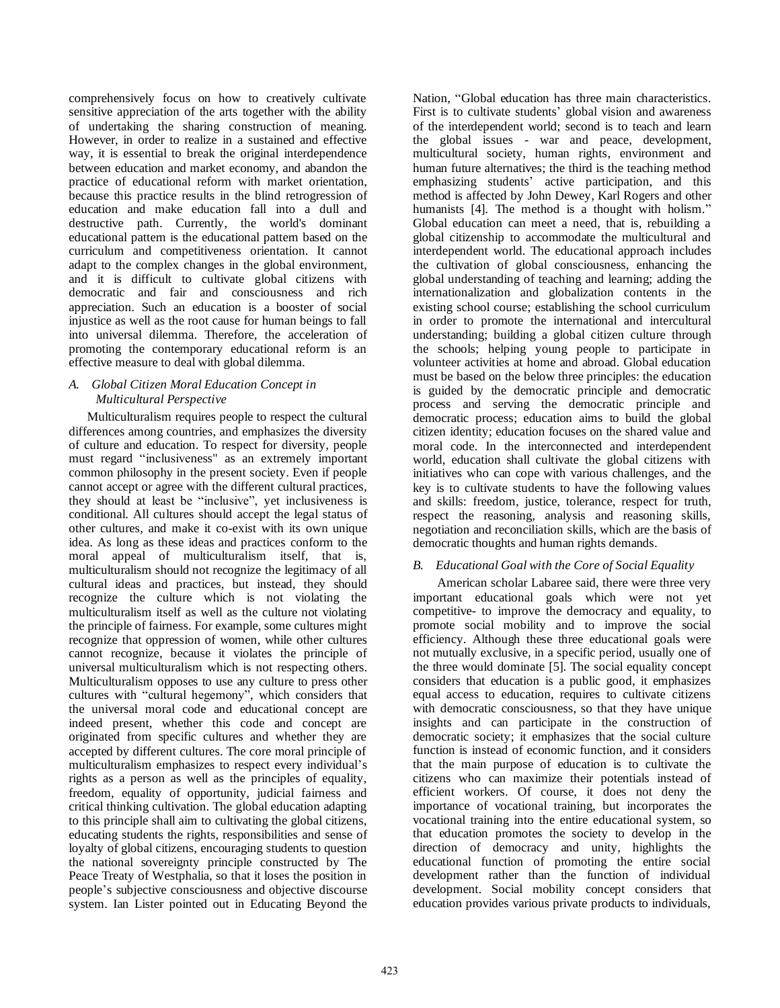comprehensively focus on how to creatively cultivate sensitive appreciation of the arts together with the ability of undertaking the sharing construction of meaning. However, in order to realize in a sustained and effective way, it is essential to break the original interdependence between education and market economy, and abandon the practice of educational reform with market orientation, because this practice results in the blind retrogression of education and make education fall into a dull and destructive path. Currently, the world's dominant educational pattern is the educational pattern based on the curriculum and competitiveness orientation. It cannot adapt to the complex changes in the global environment, and it is difficult to cultivate global citizens with democratic and fair and consciousness and rich appreciation. Such an education is a booster of social injustice as well as the root cause for human beings to fall into universal dilemma. Therefore, the acceleration of promoting the contemporary educational reform is an effective measure to deal with global dilemma.

# *A. Global Citizen Moral Education Concept in Multicultural Perspective*

Multiculturalism requires people to respect the cultural differences among countries, and emphasizes the diversity of culture and education. To respect for diversity, people must regard "inclusiveness" as an extremely important common philosophy in the present society. Even if people cannot accept or agree with the different cultural practices, they should at least be "inclusive", yet inclusiveness is conditional. All cultures should accept the legal status of other cultures, and make it co-exist with its own unique idea. As long as these ideas and practices conform to the moral appeal of multiculturalism itself, that is, multiculturalism should not recognize the legitimacy of all cultural ideas and practices, but instead, they should recognize the culture which is not violating the multiculturalism itself as well as the culture not violating the principle of fairness. For example, some cultures might recognize that oppression of women, while other cultures cannot recognize, because it violates the principle of universal multiculturalism which is not respecting others. Multiculturalism opposes to use any culture to press other cultures with "cultural hegemony", which considers that the universal moral code and educational concept are indeed present, whether this code and concept are originated from specific cultures and whether they are accepted by different cultures. The core moral principle of multiculturalism emphasizes to respect every individual's rights as a person as well as the principles of equality, freedom, equality of opportunity, judicial fairness and critical thinking cultivation. The global education adapting to this principle shall aim to cultivating the global citizens, educating students the rights, responsibilities and sense of loyalty of global citizens, encouraging students to question the national sovereignty principle constructed by The Peace Treaty of Westphalia, so that it loses the position in people's subjective consciousness and objective discourse system. Ian Lister pointed out in Educating Beyond the

Nation, "Global education has three main characteristics. First is to cultivate students' global vision and awareness of the interdependent world; second is to teach and learn the global issues - war and peace, development, multicultural society, human rights, environment and human future alternatives; the third is the teaching method emphasizing students' active participation, and this method is affected by John Dewey, Karl Rogers and other humanists [4]. The method is a thought with holism." Global education can meet a need, that is, rebuilding a global citizenship to accommodate the multicultural and interdependent world. The educational approach includes the cultivation of global consciousness, enhancing the global understanding of teaching and learning; adding the internationalization and globalization contents in the existing school course; establishing the school curriculum in order to promote the international and intercultural understanding; building a global citizen culture through the schools; helping young people to participate in volunteer activities at home and abroad. Global education must be based on the below three principles: the education is guided by the democratic principle and democratic process and serving the democratic principle and democratic process; education aims to build the global citizen identity; education focuses on the shared value and moral code. In the interconnected and interdependent world, education shall cultivate the global citizens with initiatives who can cope with various challenges, and the key is to cultivate students to have the following values and skills: freedom, justice, tolerance, respect for truth, respect the reasoning, analysis and reasoning skills, negotiation and reconciliation skills, which are the basis of democratic thoughts and human rights demands.

# *B. Educational Goal with the Core of Social Equality*

 American scholar Labaree said, there were three very important educational goals which were not yet competitive- to improve the democracy and equality, to promote social mobility and to improve the social efficiency. Although these three educational goals were not mutually exclusive, in a specific period, usually one of the three would dominate [5]. The social equality concept considers that education is a public good, it emphasizes equal access to education, requires to cultivate citizens with democratic consciousness, so that they have unique insights and can participate in the construction of democratic society; it emphasizes that the social culture function is instead of economic function, and it considers that the main purpose of education is to cultivate the citizens who can maximize their potentials instead of efficient workers. Of course, it does not deny the importance of vocational training, but incorporates the vocational training into the entire educational system, so that education promotes the society to develop in the direction of democracy and unity, highlights the educational function of promoting the entire social development rather than the function of individual development. Social mobility concept considers that education provides various private products to individuals,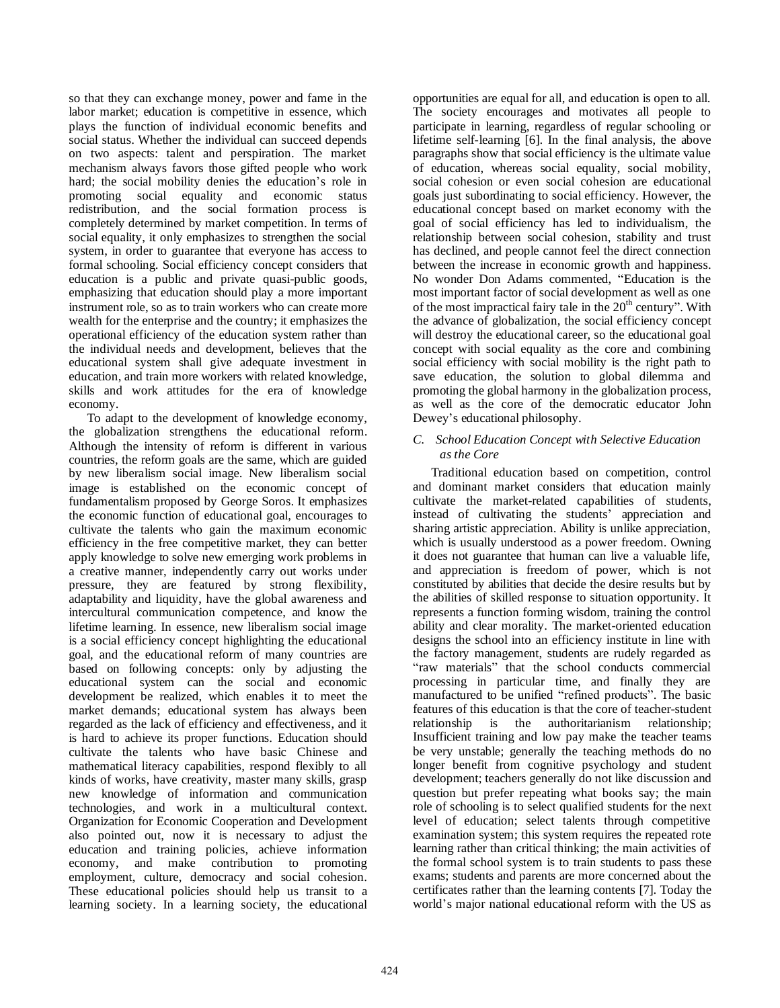so that they can exchange money, power and fame in the labor market; education is competitive in essence, which plays the function of individual economic benefits and social status. Whether the individual can succeed depends on two aspects: talent and perspiration. The market mechanism always favors those gifted people who work hard; the social mobility denies the education's role in promoting social equality and economic status promoting social equality and economic status redistribution, and the social formation process is completely determined by market competition. In terms of social equality, it only emphasizes to strengthen the social system, in order to guarantee that everyone has access to formal schooling. Social efficiency concept considers that education is a public and private quasi-public goods, emphasizing that education should play a more important instrument role, so as to train workers who can create more wealth for the enterprise and the country; it emphasizes the operational efficiency of the education system rather than the individual needs and development, believes that the educational system shall give adequate investment in education, and train more workers with related knowledge, skills and work attitudes for the era of knowledge economy.

To adapt to the development of knowledge economy, the globalization strengthens the educational reform. Although the intensity of reform is different in various countries, the reform goals are the same, which are guided by new liberalism social image. New liberalism social image is established on the economic concept of fundamentalism proposed by George Soros. It emphasizes the economic function of educational goal, encourages to cultivate the talents who gain the maximum economic efficiency in the free competitive market, they can better apply knowledge to solve new emerging work problems in a creative manner, independently carry out works under pressure, they are featured by strong flexibility, adaptability and liquidity, have the global awareness and intercultural communication competence, and know the lifetime learning. In essence, new liberalism social image is a social efficiency concept highlighting the educational goal, and the educational reform of many countries are based on following concepts: only by adjusting the educational system can the social and economic development be realized, which enables it to meet the market demands; educational system has always been regarded as the lack of efficiency and effectiveness, and it is hard to achieve its proper functions. Education should cultivate the talents who have basic Chinese and mathematical literacy capabilities, respond flexibly to all kinds of works, have creativity, master many skills, grasp new knowledge of information and communication technologies, and work in a multicultural context. Organization for Economic Cooperation and Development also pointed out, now it is necessary to adjust the education and training policies, achieve information economy, and make contribution to promoting employment, culture, democracy and social cohesion. These educational policies should help us transit to a learning society. In a learning society, the educational

opportunities are equal for all, and education is open to all. The society encourages and motivates all people to participate in learning, regardless of regular schooling or lifetime self-learning [6]. In the final analysis, the above paragraphs show that social efficiency is the ultimate value of education, whereas social equality, social mobility, social cohesion or even social cohesion are educational goals just subordinating to social efficiency. However, the educational concept based on market economy with the goal of social efficiency has led to individualism, the relationship between social cohesion, stability and trust has declined, and people cannot feel the direct connection between the increase in economic growth and happiness. No wonder Don Adams commented, "Education is the most important factor of social development as well as one of the most impractical fairy tale in the  $20<sup>th</sup>$  century". With the advance of globalization, the social efficiency concept will destroy the educational career, so the educational goal concept with social equality as the core and combining social efficiency with social mobility is the right path to save education, the solution to global dilemma and promoting the global harmony in the globalization process, as well as the core of the democratic educator John Dewey's educational philosophy.

## *C. School Education Concept with Selective Education as the Core*

Traditional education based on competition, control and dominant market considers that education mainly cultivate the market-related capabilities of students, instead of cultivating the students' appreciation and sharing artistic appreciation. Ability is unlike appreciation, which is usually understood as a power freedom. Owning it does not guarantee that human can live a valuable life, and appreciation is freedom of power, which is not constituted by abilities that decide the desire results but by the abilities of skilled response to situation opportunity. It represents a function forming wisdom, training the control ability and clear morality. The market-oriented education designs the school into an efficiency institute in line with the factory management, students are rudely regarded as "raw materials" that the school conducts commercial processing in particular time, and finally they are manufactured to be unified "refined products". The basic features of this education is that the core of teacher-student relationship is the authoritarianism relationship; Insufficient training and low pay make the teacher teams be very unstable; generally the teaching methods do no longer benefit from cognitive psychology and student development; teachers generally do not like discussion and question but prefer repeating what books say; the main role of schooling is to select qualified students for the next level of education; select talents through competitive examination system; this system requires the repeated rote learning rather than critical thinking; the main activities of the formal school system is to train students to pass these exams; students and parents are more concerned about the certificates rather than the learning contents [7]. Today the world's major national educational reform with the US as